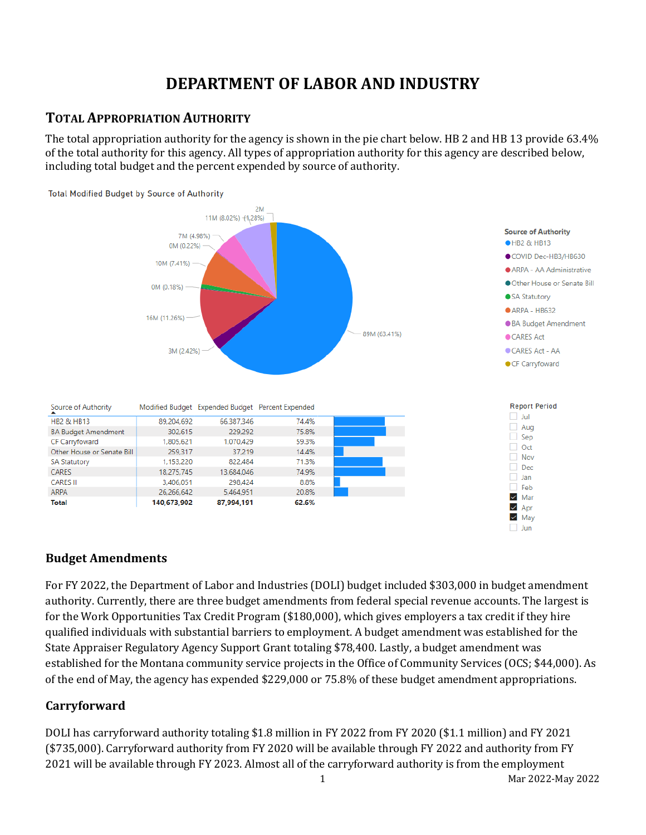# **DEPARTMENT OF LABOR AND INDUSTRY**

# **TOTAL APPROPRIATION AUTHORITY**

The total appropriation authority for the agency is shown in the pie chart below. HB 2 and HB 13 provide 63.4% of the total authority for this agency. All types of appropriation authority for this agency are described below, including total budget and the percent expended by source of authority.



### **Budget Amendments**

For FY 2022, the Department of Labor and Industries (DOLI) budget included \$303,000 in budget amendment authority. Currently, there are three budget amendments from federal special revenue accounts. The largest is for the Work Opportunities Tax Credit Program (\$180,000), which gives employers a tax credit if they hire qualified individuals with substantial barriers to employment. A budget amendment was established for the State Appraiser Regulatory Agency Support Grant totaling \$78,400. Lastly, a budget amendment was established for the Montana community service projects in the Office of Community Services (OCS; \$44,000). As of the end of May, the agency has expended \$229,000 or 75.8% of these budget amendment appropriations.

# **Carryforward**

DOLI has carryforward authority totaling \$1.8 million in FY 2022 from FY 2020 (\$1.1 million) and FY 2021 (\$735,000). Carryforward authority from FY 2020 will be available through FY 2022 and authority from FY 2021 will be available through FY 2023. Almost all of the carryforward authority is from the employment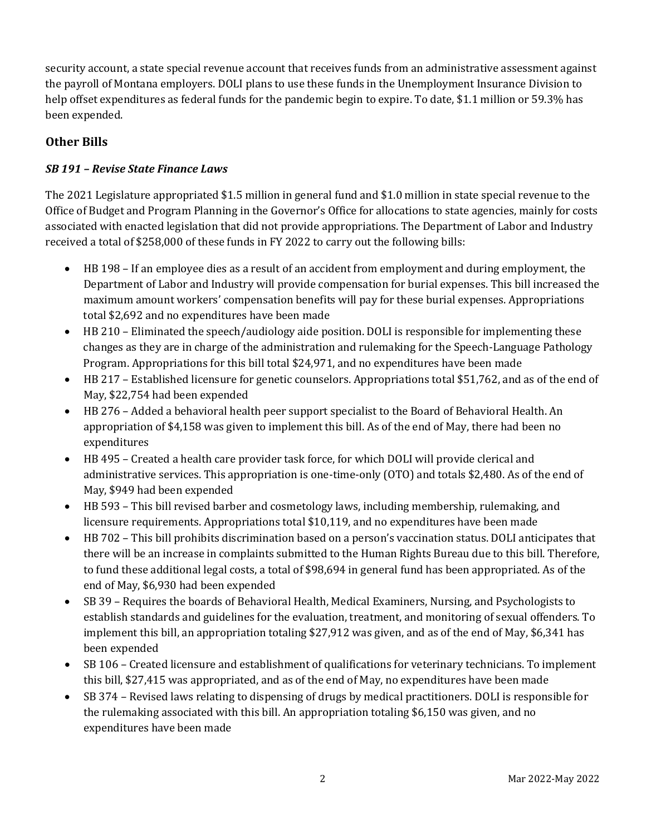security account, a state special revenue account that receives funds from an administrative assessment against the payroll of Montana employers. DOLI plans to use these funds in the Unemployment Insurance Division to help offset expenditures as federal funds for the pandemic begin to expire. To date, \$1.1 million or 59.3% has been expended.

### **Other Bills**

#### *SB 191 – Revise State Finance Laws*

The 2021 Legislature appropriated \$1.5 million in general fund and \$1.0 million in state special revenue to the Office of Budget and Program Planning in the Governor's Office for allocations to state agencies, mainly for costs associated with enacted legislation that did not provide appropriations. The Department of Labor and Industry received a total of \$258,000 of these funds in FY 2022 to carry out the following bills:

- HB 198 If an employee dies as a result of an accident from employment and during employment, the Department of Labor and Industry will provide compensation for burial expenses. This bill increased the maximum amount workers' compensation benefits will pay for these burial expenses. Appropriations total \$2,692 and no expenditures have been made
- HB 210 Eliminated the speech/audiology aide position. DOLI is responsible for implementing these changes as they are in charge of the administration and rulemaking for the Speech-Language Pathology Program. Appropriations for this bill total \$24,971, and no expenditures have been made
- HB 217 Established licensure for genetic counselors. Appropriations total \$51,762, and as of the end of May, \$22,754 had been expended
- HB 276 Added a behavioral health peer support specialist to the Board of Behavioral Health. An appropriation of \$4,158 was given to implement this bill. As of the end of May, there had been no expenditures
- HB 495 Created a health care provider task force, for which DOLI will provide clerical and administrative services. This appropriation is one-time-only (OTO) and totals \$2,480. As of the end of May, \$949 had been expended
- HB 593 This bill revised barber and cosmetology laws, including membership, rulemaking, and licensure requirements. Appropriations total \$10,119, and no expenditures have been made
- HB 702 This bill prohibits discrimination based on a person's vaccination status. DOLI anticipates that there will be an increase in complaints submitted to the Human Rights Bureau due to this bill. Therefore, to fund these additional legal costs, a total of \$98,694 in general fund has been appropriated. As of the end of May, \$6,930 had been expended
- SB 39 Requires the boards of Behavioral Health, Medical Examiners, Nursing, and Psychologists to establish standards and guidelines for the evaluation, treatment, and monitoring of sexual offenders. To implement this bill, an appropriation totaling \$27,912 was given, and as of the end of May, \$6,341 has been expended
- SB 106 Created licensure and establishment of qualifications for veterinary technicians. To implement this bill, \$27,415 was appropriated, and as of the end of May, no expenditures have been made
- SB 374 Revised laws relating to dispensing of drugs by medical practitioners. DOLI is responsible for the rulemaking associated with this bill. An appropriation totaling \$6,150 was given, and no expenditures have been made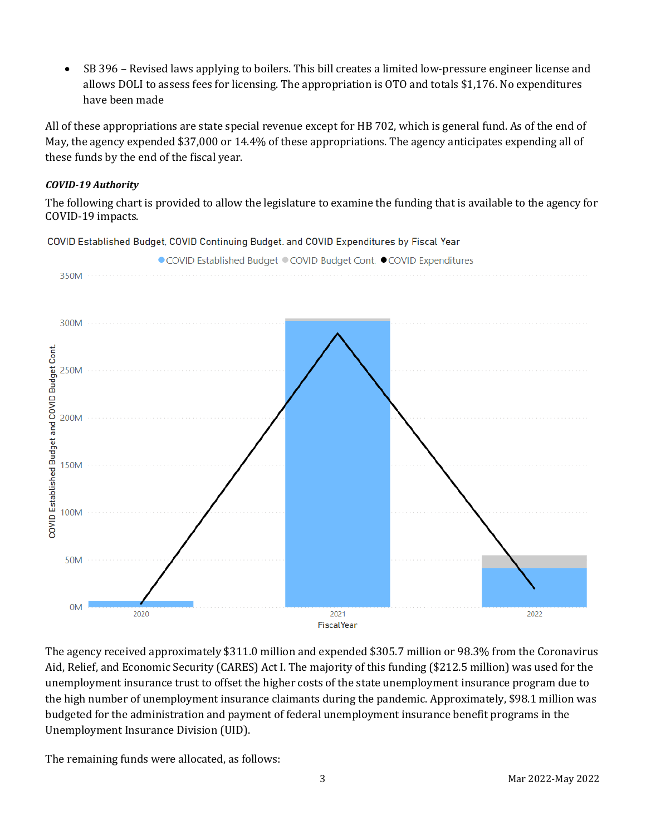• SB 396 – Revised laws applying to boilers. This bill creates a limited low-pressure engineer license and allows DOLI to assess fees for licensing. The appropriation is OTO and totals \$1,176. No expenditures have been made

All of these appropriations are state special revenue except for HB 702, which is general fund. As of the end of May, the agency expended \$37,000 or 14.4% of these appropriations. The agency anticipates expending all of these funds by the end of the fiscal year.

#### *COVID-19 Authority*

The following chart is provided to allow the legislature to examine the funding that is available to the agency for COVID-19 impacts.

COVID Established Budget, COVID Continuing Budget. and COVID Expenditures by Fiscal Year



The agency received approximately \$311.0 million and expended \$305.7 million or 98.3% from the Coronavirus Aid, Relief, and Economic Security (CARES) Act I. The majority of this funding (\$212.5 million) was used for the unemployment insurance trust to offset the higher costs of the state unemployment insurance program due to the high number of unemployment insurance claimants during the pandemic. Approximately, \$98.1 million was budgeted for the administration and payment of federal unemployment insurance benefit programs in the Unemployment Insurance Division (UID).

The remaining funds were allocated, as follows: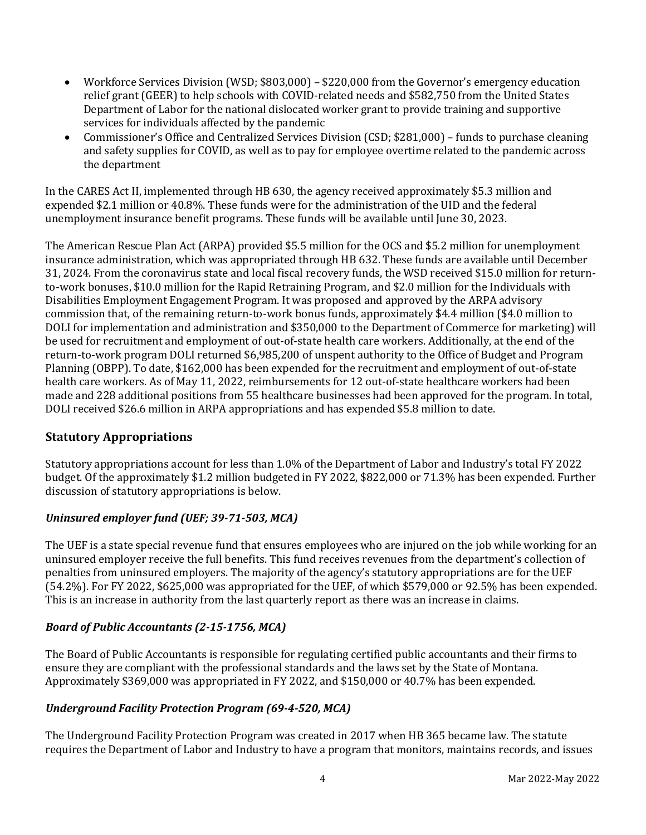- Workforce Services Division (WSD; \$803,000) \$220,000 from the Governor's emergency education relief grant (GEER) to help schools with COVID-related needs and \$582,750 from the United States Department of Labor for the national dislocated worker grant to provide training and supportive services for individuals affected by the pandemic
- Commissioner's Office and Centralized Services Division (CSD; \$281,000) funds to purchase cleaning and safety supplies for COVID, as well as to pay for employee overtime related to the pandemic across the department

In the CARES Act II, implemented through HB 630, the agency received approximately \$5.3 million and expended \$2.1 million or 40.8%. These funds were for the administration of the UID and the federal unemployment insurance benefit programs. These funds will be available until June 30, 2023.

The American Rescue Plan Act (ARPA) provided \$5.5 million for the OCS and \$5.2 million for unemployment insurance administration, which was appropriated through HB 632. These funds are available until December 31, 2024. From the coronavirus state and local fiscal recovery funds, the WSD received \$15.0 million for returnto-work bonuses, \$10.0 million for the Rapid Retraining Program, and \$2.0 million for the Individuals with Disabilities Employment Engagement Program. It was proposed and approved by the ARPA advisory commission that, of the remaining return-to-work bonus funds, approximately \$4.4 million (\$4.0 million to DOLI for implementation and administration and \$350,000 to the Department of Commerce for marketing) will be used for recruitment and employment of out-of-state health care workers. Additionally, at the end of the return-to-work program DOLI returned \$6,985,200 of unspent authority to the Office of Budget and Program Planning (OBPP). To date, \$162,000 has been expended for the recruitment and employment of out-of-state health care workers. As of May 11, 2022, reimbursements for 12 out-of-state healthcare workers had been made and 228 additional positions from 55 healthcare businesses had been approved for the program. In total, DOLI received \$26.6 million in ARPA appropriations and has expended \$5.8 million to date.

### **Statutory Appropriations**

Statutory appropriations account for less than 1.0% of the Department of Labor and Industry's total FY 2022 budget. Of the approximately \$1.2 million budgeted in FY 2022, \$822,000 or 71.3% has been expended. Further discussion of statutory appropriations is below.

### *Uninsured employer fund (UEF; 39-71-503, MCA)*

The UEF is a state special revenue fund that ensures employees who are injured on the job while working for an uninsured employer receive the full benefits. This fund receives revenues from the department's collection of penalties from uninsured employers. The majority of the agency's statutory appropriations are for the UEF (54.2%). For FY 2022, \$625,000 was appropriated for the UEF, of which \$579,000 or 92.5% has been expended. This is an increase in authority from the last quarterly report as there was an increase in claims.

### *Board of Public Accountants (2-15-1756, MCA)*

The Board of Public Accountants is responsible for regulating certified public accountants and their firms to ensure they are compliant with the professional standards and the laws set by the State of Montana. Approximately \$369,000 was appropriated in FY 2022, and \$150,000 or 40.7% has been expended.

### *Underground Facility Protection Program (69-4-520, MCA)*

The Underground Facility Protection Program was created in 2017 when HB 365 became law. The statute requires the Department of Labor and Industry to have a program that monitors, maintains records, and issues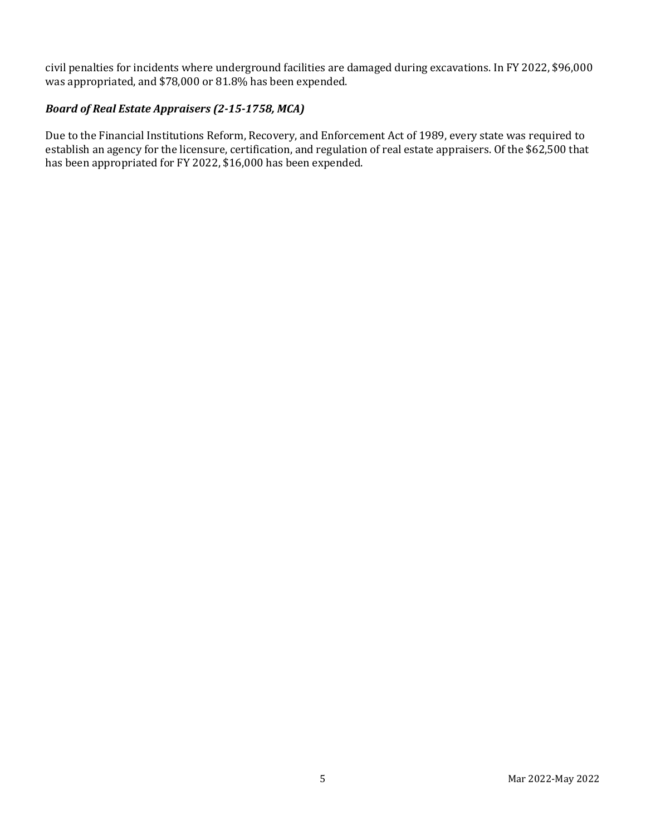civil penalties for incidents where underground facilities are damaged during excavations. In FY 2022, \$96,000 was appropriated, and \$78,000 or 81.8% has been expended.

#### *Board of Real Estate Appraisers (2-15-1758, MCA)*

Due to the Financial Institutions Reform, Recovery, and Enforcement Act of 1989, every state was required to establish an agency for the licensure, certification, and regulation of real estate appraisers. Of the \$62,500 that has been appropriated for FY 2022, \$16,000 has been expended.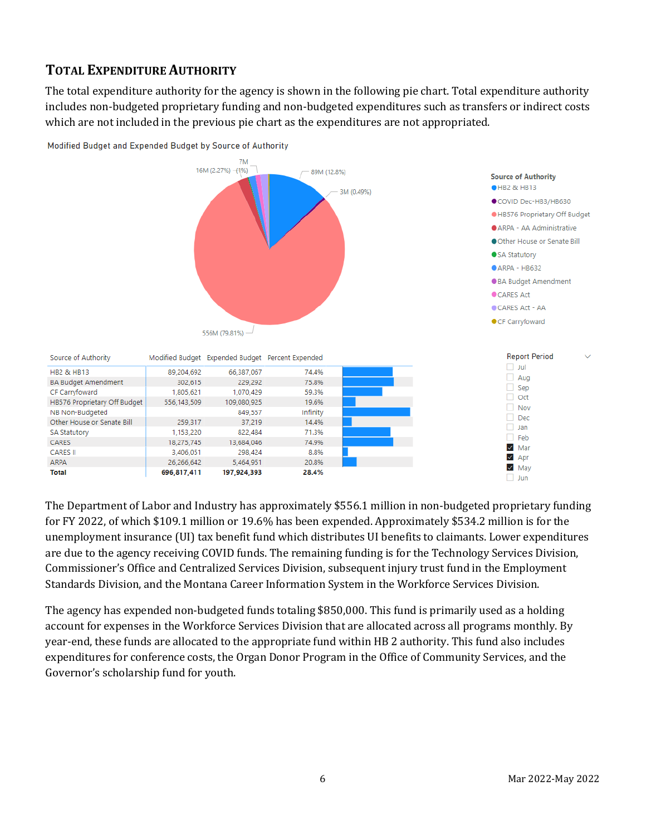# **TOTAL EXPENDITURE AUTHORITY**

**HB2 & HB13** 

**SA Statutory** 

CARES

**ARPA** 

**Total** 

**CARES II** 

The total expenditure authority for the agency is shown in the following pie chart. Total expenditure authority includes non-budgeted proprietary funding and non-budgeted expenditures such as transfers or indirect costs which are not included in the previous pie chart as the expenditures are not appropriated.



Modified Budget and Expended Budget by Source of Authority

The Department of Labor and Industry has approximately \$556.1 million in non-budgeted proprietary funding for FY 2022, of which \$109.1 million or 19.6% has been expended. Approximately \$534.2 million is for the unemployment insurance (UI) tax benefit fund which distributes UI benefits to claimants. Lower expenditures are due to the agency receiving COVID funds. The remaining funding is for the Technology Services Division, Commissioner's Office and Centralized Services Division, subsequent injury trust fund in the Employment Standards Division, and the Montana Career Information System in the Workforce Services Division.

The agency has expended non-budgeted funds totaling \$850,000. This fund is primarily used as a holding account for expenses in the Workforce Services Division that are allocated across all programs monthly. By year-end, these funds are allocated to the appropriate fund within HB 2 authority. This fund also includes expenditures for conference costs, the Organ Donor Program in the Office of Community Services, and the Governor's scholarship fund for youth.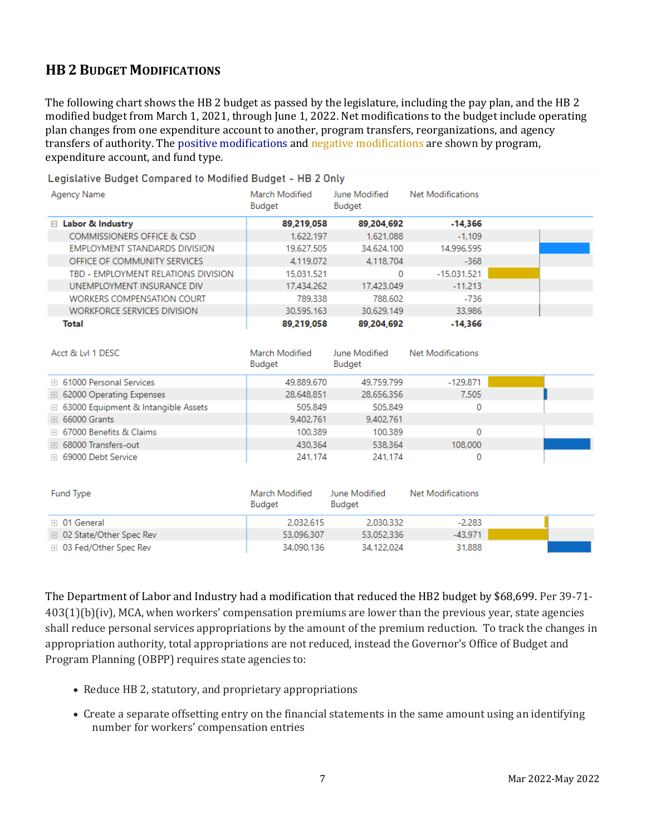# **HB 2 BUDGET MODIFICATIONS**

The following chart shows the HB 2 budget as passed by the legislature, including the pay plan, and the HB 2 modified budget from March 1, 2021, through June 1, 2022. Net modifications to the budget include operating plan changes from one expenditure account to another, program transfers, reorganizations, and agency transfers of authority. The positive modifications and negative modifications are shown by program, expenditure account, and fund type.

| Legislative Daaget Compared to modified Daaget - TiD Z Only |                          |                         |                   |  |
|-------------------------------------------------------------|--------------------------|-------------------------|-------------------|--|
| Agency Name                                                 | March Modified<br>Budget | June Modified<br>Budget | Net Modifications |  |
| $\Box$ Labor & Industry                                     | 89,219,058               | 89,204,692              | $-14,366$         |  |
| <b>COMMISSIONERS OFFICE &amp; CSD</b>                       | 1.622.197                | 1.621.088               | $-1.109$          |  |
| EMPLOYMENT STANDARDS DIVISION                               | 19.627.505               | 34,624,100              | 14,996,595        |  |
| OFFICE OF COMMUNITY SERVICES                                | 4.119.072                | 4.118.704               | $-368$            |  |
| TBD - EMPLOYMENT RELATIONS DIVISION                         | 15.031.521               | 0                       | $-15,031,521$     |  |
| UNEMPLOYMENT INSURANCE DIV                                  | 17,434,262               | 17,423,049              | $-11.213$         |  |
| <b>WORKERS COMPENSATION COURT</b>                           | 789.338                  | 788,602                 | -736              |  |
| <b>WORKFORCE SERVICES DIVISION</b>                          | 30,595,163               | 30,629,149              | 33,986            |  |
| Total                                                       | 89,219,058               | 89,204,692              | $-14,366$         |  |

Legislative Budget Compared to Modified Budget - HB 2 Only

| Acct & LvI 1 DESC                            | March Modified<br>Budget | June Modified<br><b>Budget</b> | Net Modifications |  |
|----------------------------------------------|--------------------------|--------------------------------|-------------------|--|
| <b>E</b> 61000 Personal Services             | 49,889,670               | 49,759,799                     | -129.871          |  |
| □ 62000 Operating Expenses                   | 28,648,851               | 28,656,356                     | 7.505             |  |
| <b>E</b> 63000 Equipment & Intangible Assets | 505,849                  | 505,849                        | 0                 |  |
| $\boxplus$ 66000 Grants                      | 9,402,761                | 9.402.761                      |                   |  |
| □ 67000 Benefits & Claims                    | 100,389                  | 100.389                        | 0                 |  |
| <b>E</b> 68000 Transfers-out                 | 430,364                  | 538,364                        | 108,000           |  |
| ⊞ 69000 Debt Service                         | 241.174                  | 241.174                        |                   |  |

| Fund Type                 | March Modified<br>June Modified<br><b>Budget</b><br>Budget |            | Net Modifications |  |
|---------------------------|------------------------------------------------------------|------------|-------------------|--|
| ⊞ 01 General              | 2.032.615                                                  | 2.030.332  | -2.283            |  |
| □ 02 State/Other Spec Rev | 53.096.307                                                 | 53.052.336 | $-43.971$         |  |
| ⊞ 03 Fed/Other Spec Rev   | 34,090,136                                                 | 34,122,024 | 31,888            |  |

The Department of Labor and Industry had a modification that reduced the HB2 budget by \$68,699. Per 39-71- 403(1)(b)(iv), MCA, when workers' compensation premiums are lower than the previous year, state agencies shall reduce personal services appropriations by the amount of the premium reduction. To track the changes in appropriation authority, total appropriations are not reduced, instead the Governor's Office of Budget and Program Planning (OBPP) requires state agencies to:

- Reduce HB 2, statutory, and proprietary appropriations
- Create a separate offsetting entry on the financial statements in the same amount using an identifying number for workers' compensation entries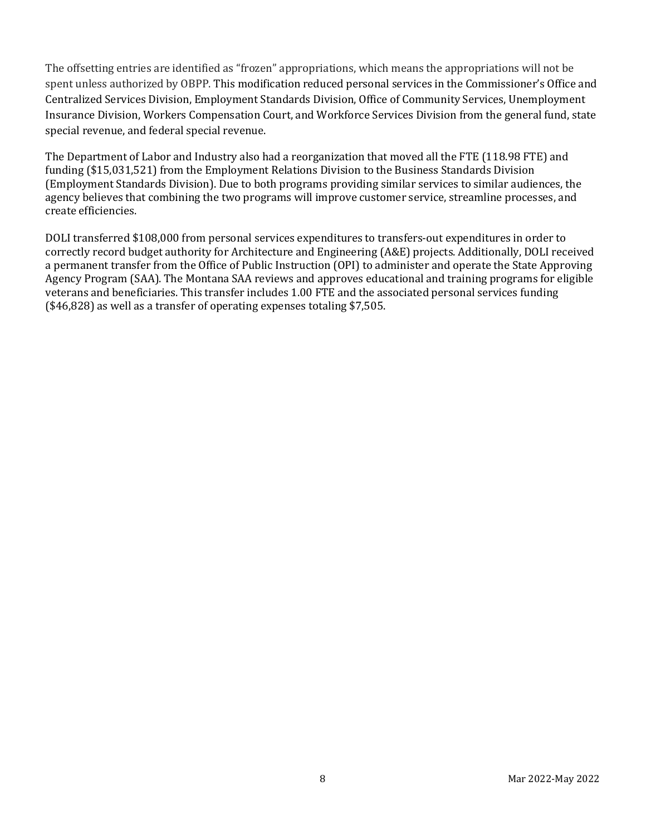The offsetting entries are identified as "frozen" appropriations, which means the appropriations will not be spent unless authorized by OBPP. This modification reduced personal services in the Commissioner's Office and Centralized Services Division, Employment Standards Division, Office of Community Services, Unemployment Insurance Division, Workers Compensation Court, and Workforce Services Division from the general fund, state special revenue, and federal special revenue.

The Department of Labor and Industry also had a reorganization that moved all the FTE (118.98 FTE) and funding (\$15,031,521) from the Employment Relations Division to the Business Standards Division (Employment Standards Division). Due to both programs providing similar services to similar audiences, the agency believes that combining the two programs will improve customer service, streamline processes, and create efficiencies.

DOLI transferred \$108,000 from personal services expenditures to transfers-out expenditures in order to correctly record budget authority for Architecture and Engineering (A&E) projects. Additionally, DOLI received a permanent transfer from the Office of Public Instruction (OPI) to administer and operate the State Approving Agency Program (SAA). The Montana SAA reviews and approves educational and training programs for eligible veterans and beneficiaries. This transfer includes 1.00 FTE and the associated personal services funding (\$46,828) as well as a transfer of operating expenses totaling \$7,505.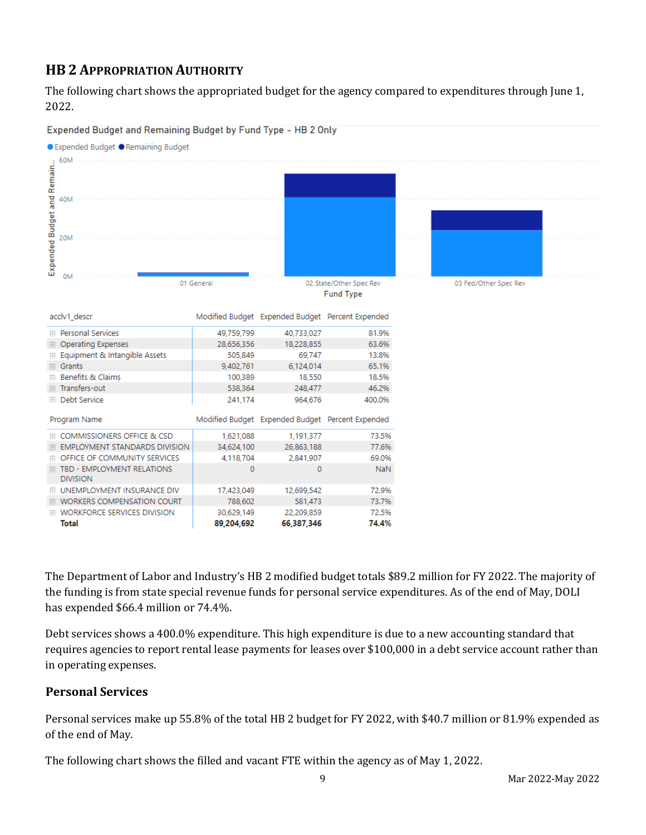# **HB 2 APPROPRIATION AUTHORITY**

The following chart shows the appropriated budget for the agency compared to expenditures through June 1, 2022.



The Department of Labor and Industry's HB 2 modified budget totals \$89.2 million for FY 2022. The majority of the funding is from state special revenue funds for personal service expenditures. As of the end of May, DOLI has expended \$66.4 million or 74.4%.

Debt services shows a 400.0% expenditure. This high expenditure is due to a new accounting standard that requires agencies to report rental lease payments for leases over \$100,000 in a debt service account rather than in operating expenses.

### **Personal Services**

Personal services make up 55.8% of the total HB 2 budget for FY 2022, with \$40.7 million or 81.9% expended as of the end of May.

The following chart shows the filled and vacant FTE within the agency as of May 1, 2022.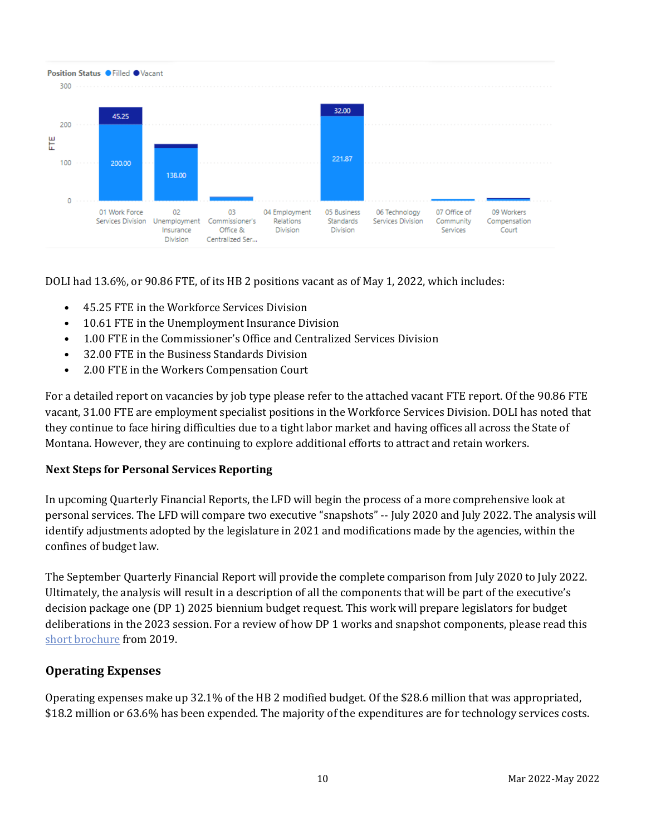

DOLI had 13.6%, or 90.86 FTE, of its HB 2 positions vacant as of May 1, 2022, which includes:

- 45.25 FTE in the Workforce Services Division
- 10.61 FTE in the Unemployment Insurance Division
- 1.00 FTE in the Commissioner's Office and Centralized Services Division
- 32.00 FTE in the Business Standards Division
- 2.00 FTE in the Workers Compensation Court

For a detailed report on vacancies by job type please refer to the attached vacant FTE report. Of the 90.86 FTE vacant, 31.00 FTE are employment specialist positions in the Workforce Services Division. DOLI has noted that they continue to face hiring difficulties due to a tight labor market and having offices all across the State of Montana. However, they are continuing to explore additional efforts to attract and retain workers.

#### **Next Steps for Personal Services Reporting**

In upcoming Quarterly Financial Reports, the LFD will begin the process of a more comprehensive look at personal services. The LFD will compare two executive "snapshots" -- July 2020 and July 2022. The analysis will identify adjustments adopted by the legislature in 2021 and modifications made by the agencies, within the confines of budget law.

The September Quarterly Financial Report will provide the complete comparison from July 2020 to July 2022. Ultimately, the analysis will result in a description of all the components that will be part of the executive's decision package one (DP 1) 2025 biennium budget request. This work will prepare legislators for budget deliberations in the 2023 session. For a review of how DP 1 works and snapshot components, please read this [short brochure](https://montana.maps.arcgis.com/apps/Cascade/index.html?appid=23095fcf15754f4fb38b63c58a884b97) from 2019.

### **Operating Expenses**

Operating expenses make up 32.1% of the HB 2 modified budget. Of the \$28.6 million that was appropriated, \$18.2 million or 63.6% has been expended. The majority of the expenditures are for technology services costs.